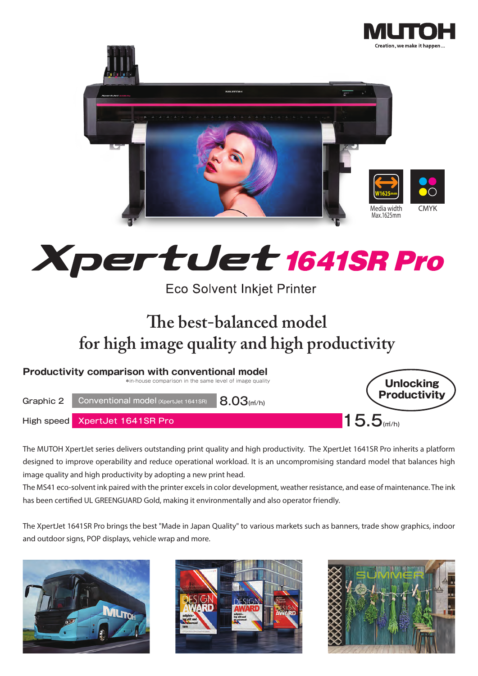



# pertuet 1641SR Pro X

**Eco Solvent Inkjet Printer** 

# **e best-balanced model for high image quality and high productivity**



The MUTOH XpertJet series delivers outstanding print quality and high productivity. The XpertJet 1641SR Pro inherits a platform designed to improve operability and reduce operational workload. It is an uncompromising standard model that balances high image quality and high productivity by adopting a new print head.

The MS41 eco-solvent ink paired with the printer excels in color development, weather resistance, and ease of maintenance. The ink has been certified UL GREENGUARD Gold, making it environmentally and also operator friendly.

The XpertJet 1641SR Pro brings the best "Made in Japan Quality" to various markets such as banners, trade show graphics, indoor and outdoor signs, POP displays, vehicle wrap and more.